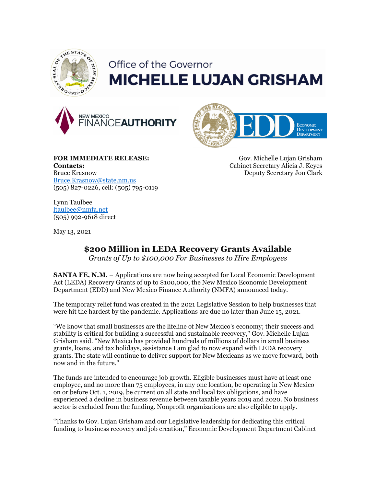

## Office of the Governor **MICHELLE LUJAN GRISHAM**





**FOR IMMEDIATE RELEASE: Contacts:** Bruce Krasnow [Bruce.Krasnow@state.nm.us](mailto:Bruce.Krasnow@state.nm.us) (505) 827-0226, cell: (505) 795-0119

Gov. Michelle Lujan Grisham Cabinet Secretary Alicia J. Keyes Deputy Secretary Jon Clark

Lynn Taulbee [ltaulbee@nmfa.net](mailto:ltaulbee@nmfa.net) (505) 992-9618 direct

May 13, 2021

## **\$200 Million in LEDA Recovery Grants Available**

*Grants of Up to \$100,000 For Businesses to Hire Employees*

**SANTA FE, N.M.** – Applications are now being accepted for Local Economic Development Act (LEDA) Recovery Grants of up to \$100,000, the New Mexico Economic Development Department (EDD) and New Mexico Finance Authority (NMFA) announced today.

The temporary relief fund was created in the 2021 Legislative Session to help businesses that were hit the hardest by the pandemic. Applications are due no later than June 15, 2021.

"We know that small businesses are the lifeline of New Mexico's economy; their success and stability is critical for building a successful and sustainable recovery," Gov. Michelle Lujan Grisham said. "New Mexico has provided hundreds of millions of dollars in small business grants, loans, and tax holidays, assistance I am glad to now expand with LEDA recovery grants. The state will continue to deliver support for New Mexicans as we move forward, both now and in the future."

The funds are intended to encourage job growth. Eligible businesses must have at least one employee, and no more than 75 employees, in any one location, be operating in New Mexico on or before Oct. 1, 2019, be current on all state and local tax obligations, and have experienced a decline in business revenue between taxable years 2019 and 2020. No business sector is excluded from the funding. Nonprofit organizations are also eligible to apply.

"Thanks to Gov. Lujan Grisham and our Legislative leadership for dedicating this critical funding to business recovery and job creation," Economic Development Department Cabinet